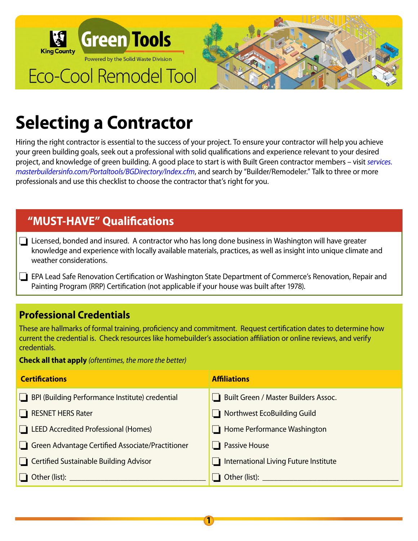

# **Selecting a Contractor**

Hiring the right contractor is essential to the success of your project. To ensure your contractor will help you achieve your green building goals, seek out a professional with solid qualifications and experience relevant to your desired project, and knowledge of green building. A good place to start is with Built Green contractor members – visit *services. masterbuildersinfo.com/Portaltools/BGDirectory/Index.cfm*, and search by "Builder/Remodeler." Talk to three or more professionals and use this checklist to choose the contractor that's right for you.

# **"MUST-HAVE" Qualifications**

- ❏ Licensed, bonded and insured. A contractor who has long done business in Washington will have greater knowledge and experience with locally available materials, practices, as well as insight into unique climate and weather considerations.
- ❏ EPA Lead Safe Renovation Certification or Washington State Department of Commerce's Renovation, Repair and Painting Program (RRP) Certification (not applicable if your house was built after 1978).

# **Professional Credentials**

These are hallmarks of formal training, proficiency and commitment. Request certification dates to determine how current the credential is. Check resources like homebuilder's association affiliation or online reviews, and verify credentials.

**Check all that apply** *(oftentimes, the more the better)*

| <b>Certifications</b>                                             | <b>Affiliations</b>                   |
|-------------------------------------------------------------------|---------------------------------------|
| BPI (Building Performance Institute) credential<br>$\blacksquare$ | Built Green / Master Builders Assoc.  |
| <b>RESNET HERS Rater</b><br>H.                                    | $\Box$ Northwest EcoBuilding Guild    |
| <b>LEED Accredited Professional (Homes)</b>                       | Home Performance Washington           |
| Green Advantage Certified Associate/Practitioner                  | $\Box$ Passive House                  |
| Certified Sustainable Building Advisor                            | International Living Future Institute |
|                                                                   |                                       |

**1**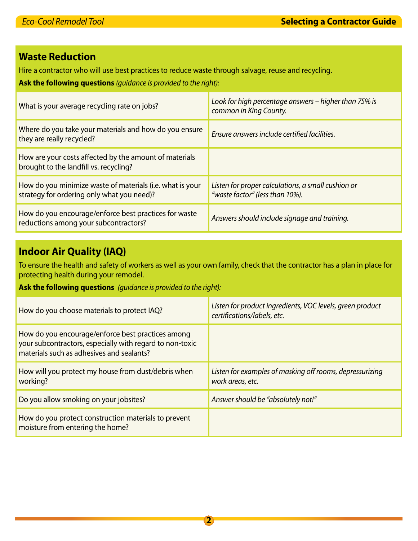## **Waste Reduction**

Hire a contractor who will use best practices to reduce waste through salvage, reuse and recycling.

**Ask the following questions** *(guidance is provided to the right):*

| What is your average recycling rate on jobs?                                                            | Look for high percentage answers - higher than 75% is<br>common in King County.       |
|---------------------------------------------------------------------------------------------------------|---------------------------------------------------------------------------------------|
| Where do you take your materials and how do you ensure<br>they are really recycled?                     | Ensure answers include certified facilities.                                          |
| How are your costs affected by the amount of materials<br>brought to the landfill vs. recycling?        |                                                                                       |
| How do you minimize waste of materials (i.e. what is your<br>strategy for ordering only what you need)? | Listen for proper calculations, a small cushion or<br>"waste factor" (less than 10%). |
| How do you encourage/enforce best practices for waste<br>reductions among your subcontractors?          | Answers should include signage and training.                                          |

## **Indoor Air Quality (IAQ)**

To ensure the health and safety of workers as well as your own family, check that the contractor has a plan in place for protecting health during your remodel.

**Ask the following questions** *(guidance is provided to the right):*

| How do you choose materials to protect IAQ?                                                                                                                | Listen for product ingredients, VOC levels, green product<br>certifications/labels, etc. |
|------------------------------------------------------------------------------------------------------------------------------------------------------------|------------------------------------------------------------------------------------------|
| How do you encourage/enforce best practices among<br>your subcontractors, especially with regard to non-toxic<br>materials such as adhesives and sealants? |                                                                                          |
| How will you protect my house from dust/debris when<br>working?                                                                                            | Listen for examples of masking off rooms, depressurizing<br>work areas, etc.             |
| Do you allow smoking on your jobsites?                                                                                                                     | Answer should be "absolutely not!"                                                       |
| How do you protect construction materials to prevent<br>moisture from entering the home?                                                                   |                                                                                          |